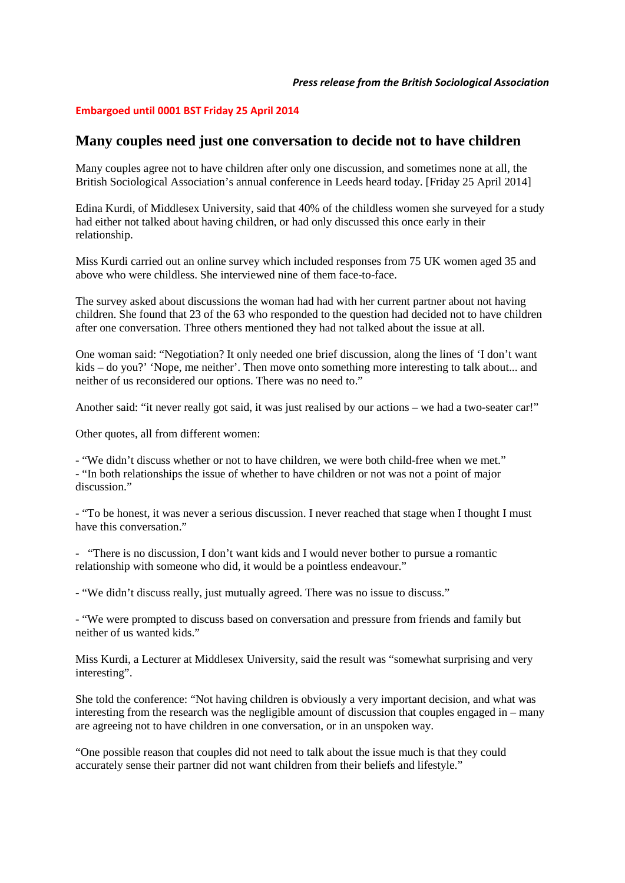## **Embargoed until 0001 BST Friday 25 April 2014**

## **Many couples need just one conversation to decide not to have children**

Many couples agree not to have children after only one discussion, and sometimes none at all, the British Sociological Association's annual conference in Leeds heard today. [Friday 25 April 2014]

Edina Kurdi, of Middlesex University, said that 40% of the childless women she surveyed for a study had either not talked about having children, or had only discussed this once early in their relationship.

Miss Kurdi carried out an online survey which included responses from 75 UK women aged 35 and above who were childless. She interviewed nine of them face-to-face.

The survey asked about discussions the woman had had with her current partner about not having children. She found that 23 of the 63 who responded to the question had decided not to have children after one conversation. Three others mentioned they had not talked about the issue at all.

One woman said: "Negotiation? It only needed one brief discussion, along the lines of 'I don't want kids – do you?' 'Nope, me neither'. Then move onto something more interesting to talk about... and neither of us reconsidered our options. There was no need to."

Another said: "it never really got said, it was just realised by our actions – we had a two-seater car!"

Other quotes, all from different women:

- "We didn't discuss whether or not to have children, we were both child-free when we met." - "In both relationships the issue of whether to have children or not was not a point of major discussion"

- "To be honest, it was never a serious discussion. I never reached that stage when I thought I must have this conversation."

- "There is no discussion, I don't want kids and I would never bother to pursue a romantic relationship with someone who did, it would be a pointless endeavour."

- "We didn't discuss really, just mutually agreed. There was no issue to discuss."

- "We were prompted to discuss based on conversation and pressure from friends and family but neither of us wanted kids."

Miss Kurdi, a Lecturer at Middlesex University, said the result was "somewhat surprising and very interesting".

She told the conference: "Not having children is obviously a very important decision, and what was interesting from the research was the negligible amount of discussion that couples engaged in – many are agreeing not to have children in one conversation, or in an unspoken way.

"One possible reason that couples did not need to talk about the issue much is that they could accurately sense their partner did not want children from their beliefs and lifestyle."